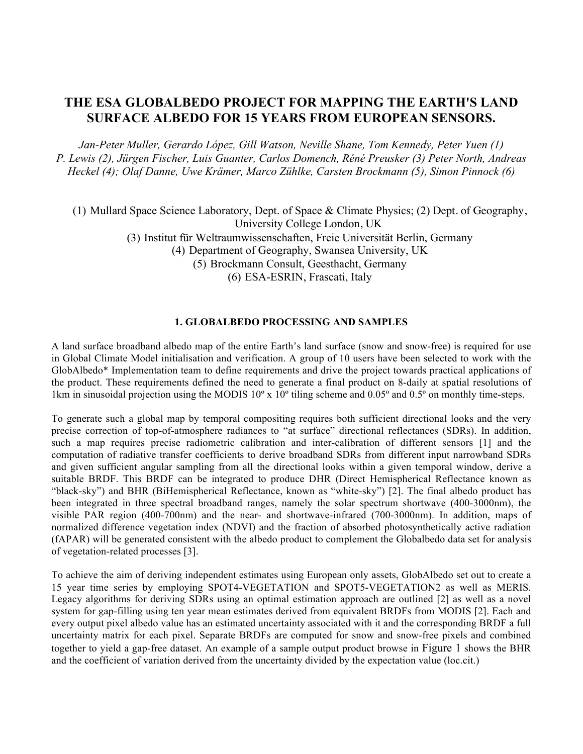# **THE ESA GLOBALBEDO PROJECT FOR MAPPING THE EARTH'S LAND SURFACE ALBEDO FOR 15 YEARS FROM EUROPEAN SENSORS.**

*Jan-Peter Muller, Gerardo López, Gill Watson, Neville Shane, Tom Kennedy, Peter Yuen (1) P. Lewis (2), Jürgen Fischer, Luis Guanter, Carlos Domench, Réné Preusker (3) Peter North, Andreas Heckel (4); Olaf Danne, Uwe Krämer, Marco Zühlke, Carsten Brockmann (5), Simon Pinnock (6)*

(1) Mullard Space Science Laboratory, Dept. of Space & Climate Physics; (2) Dept. of Geography, University College London, UK (3) Institut für Weltraumwissenschaften, Freie Universität Berlin, Germany (4) Department of Geography, Swansea University, UK (5) Brockmann Consult, Geesthacht, Germany (6) ESA-ESRIN, Frascati, Italy

### **1. GLOBALBEDO PROCESSING AND SAMPLES**

A land surface broadband albedo map of the entire Earth's land surface (snow and snow-free) is required for use in Global Climate Model initialisation and verification. A group of 10 users have been selected to work with the GlobAlbedo\* Implementation team to define requirements and drive the project towards practical applications of the product. These requirements defined the need to generate a final product on 8-daily at spatial resolutions of 1km in sinusoidal projection using the MODIS 10º x 10º tiling scheme and 0.05º and 0.5º on monthly time-steps.

To generate such a global map by temporal compositing requires both sufficient directional looks and the very precise correction of top-of-atmosphere radiances to "at surface" directional reflectances (SDRs). In addition, such a map requires precise radiometric calibration and inter-calibration of different sensors [1] and the computation of radiative transfer coefficients to derive broadband SDRs from different input narrowband SDRs and given sufficient angular sampling from all the directional looks within a given temporal window, derive a suitable BRDF. This BRDF can be integrated to produce DHR (Direct Hemispherical Reflectance known as "black-sky") and BHR (BiHemispherical Reflectance, known as "white-sky") [2]. The final albedo product has been integrated in three spectral broadband ranges, namely the solar spectrum shortwave (400-3000nm), the visible PAR region (400-700nm) and the near- and shortwave-infrared (700-3000nm). In addition, maps of normalized difference vegetation index (NDVI) and the fraction of absorbed photosynthetically active radiation (fAPAR) will be generated consistent with the albedo product to complement the Globalbedo data set for analysis of vegetation-related processes [3].

To achieve the aim of deriving independent estimates using European only assets, GlobAlbedo set out to create a 15 year time series by employing SPOT4-VEGETATION and SPOT5-VEGETATION2 as well as MERIS. Legacy algorithms for deriving SDRs using an optimal estimation approach are outlined [2] as well as a novel system for gap-filling using ten year mean estimates derived from equivalent BRDFs from MODIS [2]. Each and every output pixel albedo value has an estimated uncertainty associated with it and the corresponding BRDF a full uncertainty matrix for each pixel. Separate BRDFs are computed for snow and snow-free pixels and combined together to yield a gap-free dataset. An example of a sample output product browse in Figure 1 shows the BHR and the coefficient of variation derived from the uncertainty divided by the expectation value (loc.cit.)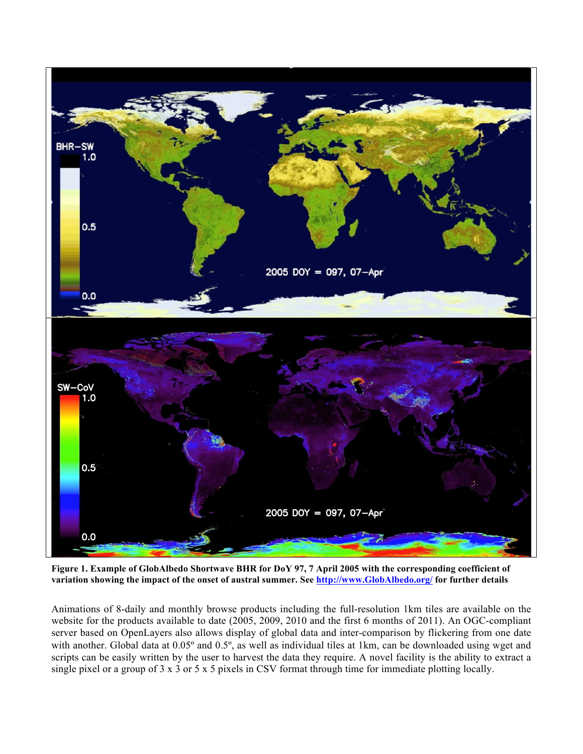

**Figure 1. Example of GlobAlbedo Shortwave BHR for DoY 97, 7 April 2005 with the corresponding coefficient of variation showing the impact of the onset of austral summer. See http://www.GlobAlbedo.org/ for further details**

Animations of 8-daily and monthly browse products including the full-resolution 1km tiles are available on the website for the products available to date (2005, 2009, 2010 and the first 6 months of 2011). An OGC-compliant server based on OpenLayers also allows display of global data and inter-comparison by flickering from one date with another. Global data at  $0.05^{\circ}$  and  $0.5^{\circ}$ , as well as individual tiles at 1km, can be downloaded using wget and scripts can be easily written by the user to harvest the data they require. A novel facility is the ability to extract a single pixel or a group of 3 x 3 or 5 x 5 pixels in CSV format through time for immediate plotting locally.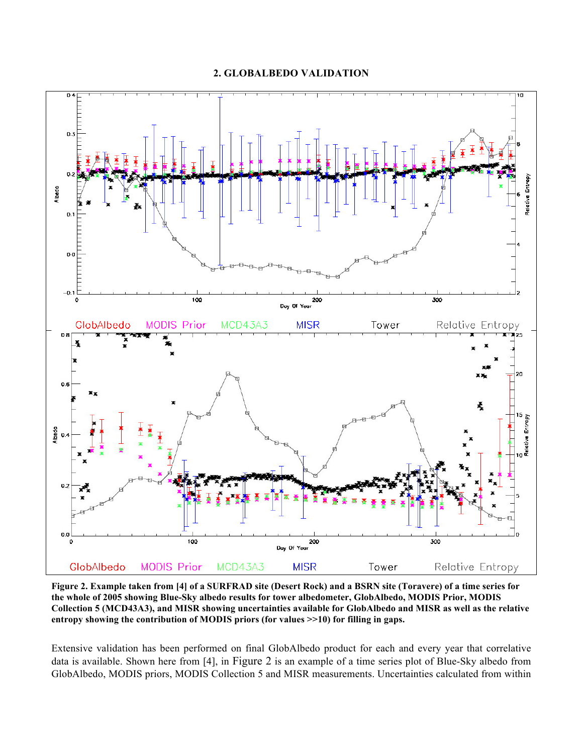# **2. GLOBALBEDO VALIDATION**



**Figure 2. Example taken from [4] of a SURFRAD site (Desert Rock) and a BSRN site (Toravere) of a time series for the whole of 2005 showing Blue-Sky albedo results for tower albedometer, GlobAlbedo, MODIS Prior, MODIS Collection 5 (MCD43A3), and MISR showing uncertainties available for GlobAlbedo and MISR as well as the relative entropy showing the contribution of MODIS priors (for values >>10) for filling in gaps.**

Extensive validation has been performed on final GlobAlbedo product for each and every year that correlative data is available. Shown here from [4], in Figure 2 is an example of a time series plot of Blue-Sky albedo from GlobAlbedo, MODIS priors, MODIS Collection 5 and MISR measurements. Uncertainties calculated from within